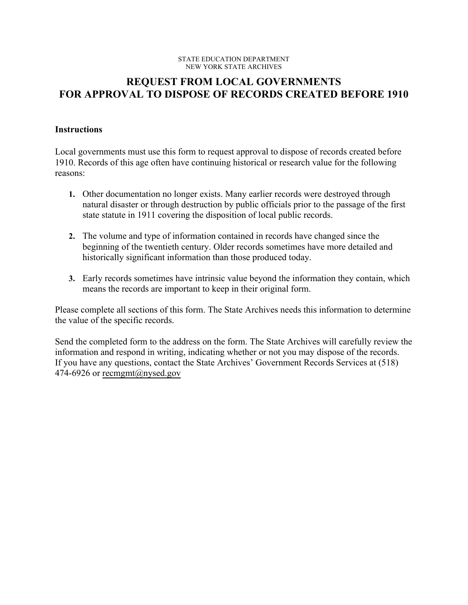#### STATE EDUCATION DEPARTMENT NEW YORK STATE ARCHIVES

# **REQUEST FROM LOCAL GOVERNMENTS FOR APPROVAL TO DISPOSE OF RECORDS CREATED BEFORE 1910**

## **Instructions**

Local governments must use this form to request approval to dispose of records created before 1910. Records of this age often have continuing historical or research value for the following reasons:

- **1.** Other documentation no longer exists. Many earlier records were destroyed through natural disaster or through destruction by public officials prior to the passage of the first state statute in 1911 covering the disposition of local public records.
- **2.** The volume and type of information contained in records have changed since the beginning of the twentieth century. Older records sometimes have more detailed and historically significant information than those produced today.
- **3.** Early records sometimes have intrinsic value beyond the information they contain, which means the records are important to keep in their original form.

 the value of the specific records. Please complete all sections of this form. The State Archives needs this information to determine

 information and respond in writing, indicating whether or not you may dispose of the records. Send the completed form to the address on the form. The State Archives will carefully review the If you have any questions, contact the State Archives' Government Records Services at (518) 474-6926 or recmgmt@nysed.gov